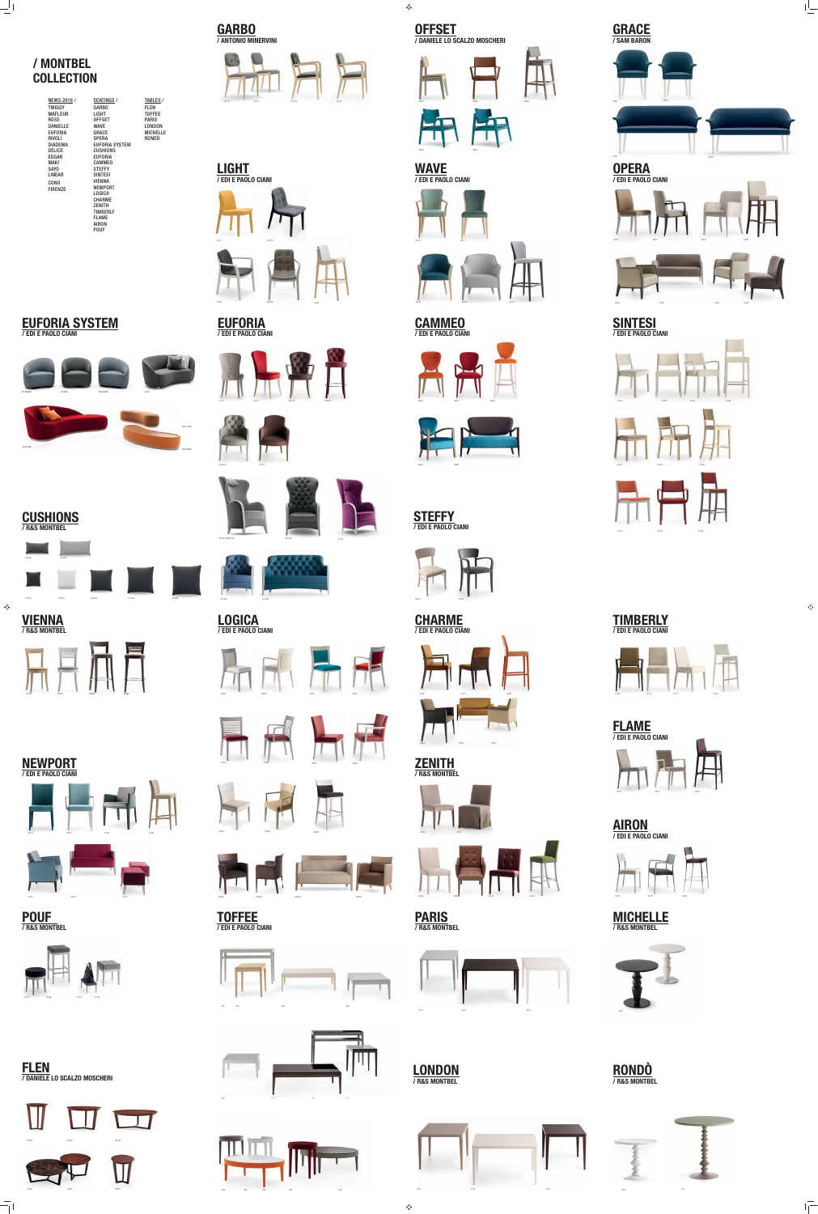

02211







 $\bigoplus$ 







**WAVE / EDI E PAOLO CIANI**







**EUFORIA**

**/ EDI E PAOLO CIANI**

**CAMMEO / EDI E PAOLO CIANI**



**SINTESI / EDI E PAOLO CIANI**





**VIENNA / R&S MONTBEL**



**TOFFEE**

**/ EDI E PAOLO CIANI**

 $\bigoplus$ 



**MICHELLE / R&S MONTBEL**









**FLEN / DANIELE LO SCALZO MOSCHERI**







**CHARME / EDI E PAOLO CIANI**



**STEFFY / EDI E PAOLO CIANI**

03281



03221 03221K













**LOGICA / EDI E PAOLO CIANI**













00132K 00131

00143+038018P 00143K











01512 01522 01582























 $\bigoplus$ 

 $\frac{1}{\sqrt{1-\frac{1}{2}}}$ 









01724 01714 01711 01784



**AIRON / EDI E PAOLO CIANI**





902TS

 $\frac{1}{\sqrt{1}}$ 

903TS 905TS



807 810 809 808









## **/ MONTBEL COLLECTION**

 $\equiv$ 

| <b>SEATINGS /</b>     | <b>TABLES /</b> |
|-----------------------|-----------------|
| <b>GARBO</b>          | <b>FLEN</b>     |
| <b>LIGHT</b>          | <b>TOFFEE</b>   |
| <b>OFFSET</b>         | <b>PARIS</b>    |
| <b>WAVE</b>           | <b>LONDON</b>   |
| GRACE                 | <b>MICHELLE</b> |
| <b>OPERA</b>          | <b>RONDÒ</b>    |
| <b>EUFORIA SYSTEM</b> |                 |
| <b>CUSHIONS</b>       |                 |
| <b>EUFORIA</b>        |                 |
| <b>CAMMEO</b>         |                 |
| <b>STEFFY</b>         |                 |
| <b>SINTESI</b>        |                 |
| <b>VIENNA</b>         |                 |
| <b>NEWPORT</b>        |                 |
| <b>LOGICA</b>         |                 |
| <b>CHARME</b>         |                 |
| <b>ZENITH</b>         |                 |
| <b>TIMBERLY</b>       |                 |
| <b>FLAME</b>          |                 |
| <b>AIRON</b>          |                 |
| <b>POUF</b>           |                 |
|                       |                 |



00144

-40.900